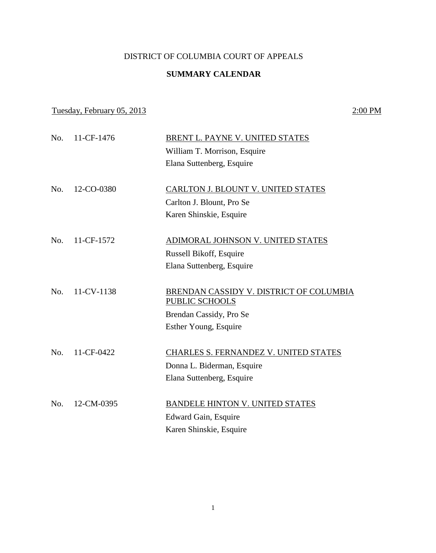## DISTRICT OF COLUMBIA COURT OF APPEALS

## **SUMMARY CALENDAR**

## Tuesday, February 05, 2013 2:00 PM

| No. | 11-CF-1476     | BRENT L. PAYNE V. UNITED STATES                                  |
|-----|----------------|------------------------------------------------------------------|
|     |                | William T. Morrison, Esquire                                     |
|     |                | Elana Suttenberg, Esquire                                        |
|     |                |                                                                  |
| No. | 12-CO-0380     | CARLTON J. BLOUNT V. UNITED STATES                               |
|     |                | Carlton J. Blount, Pro Se                                        |
|     |                | Karen Shinskie, Esquire                                          |
|     |                |                                                                  |
|     | No. 11-CF-1572 | ADIMORAL JOHNSON V. UNITED STATES                                |
|     |                | Russell Bikoff, Esquire                                          |
|     |                | Elana Suttenberg, Esquire                                        |
|     |                |                                                                  |
| No. | 11-CV-1138     | BRENDAN CASSIDY V. DISTRICT OF COLUMBIA<br><b>PUBLIC SCHOOLS</b> |
|     |                | Brendan Cassidy, Pro Se                                          |
|     |                | Esther Young, Esquire                                            |
|     |                |                                                                  |
| No. | 11-CF-0422     | CHARLES S. FERNANDEZ V. UNITED STATES                            |
|     |                | Donna L. Biderman, Esquire                                       |
|     |                | Elana Suttenberg, Esquire                                        |
| No. | 12-CM-0395     | BANDELE HINTON V. UNITED STATES                                  |
|     |                | Edward Gain, Esquire                                             |
|     |                | Karen Shinskie, Esquire                                          |
|     |                |                                                                  |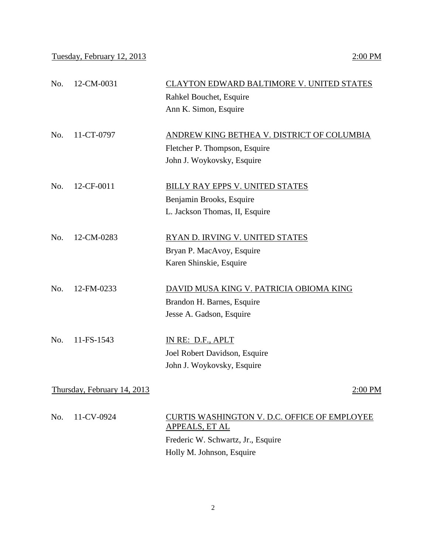Tuesday, February 12, 2013 2:00 PM

| No.                         | 12-CM-0031 | CLAYTON EDWARD BALTIMORE V. UNITED STATES                      |
|-----------------------------|------------|----------------------------------------------------------------|
|                             |            | Rahkel Bouchet, Esquire                                        |
|                             |            | Ann K. Simon, Esquire                                          |
| No.                         | 11-CT-0797 | ANDREW KING BETHEA V. DISTRICT OF COLUMBIA                     |
|                             |            | Fletcher P. Thompson, Esquire                                  |
|                             |            | John J. Woykovsky, Esquire                                     |
|                             |            |                                                                |
| No.                         | 12-CF-0011 | <b>BILLY RAY EPPS V. UNITED STATES</b>                         |
|                             |            | Benjamin Brooks, Esquire                                       |
|                             |            | L. Jackson Thomas, II, Esquire                                 |
|                             |            |                                                                |
| No.                         | 12-CM-0283 | RYAN D. IRVING V. UNITED STATES                                |
|                             |            | Bryan P. MacAvoy, Esquire                                      |
|                             |            | Karen Shinskie, Esquire                                        |
|                             |            |                                                                |
| No.                         | 12-FM-0233 | DAVID MUSA KING V. PATRICIA OBIOMA KING                        |
|                             |            | Brandon H. Barnes, Esquire                                     |
|                             |            | Jesse A. Gadson, Esquire                                       |
|                             |            |                                                                |
| No.                         | 11-FS-1543 | IN RE: D.F., APLT                                              |
|                             |            | Joel Robert Davidson, Esquire                                  |
|                             |            | John J. Woykovsky, Esquire                                     |
|                             |            |                                                                |
| Thursday, February 14, 2013 |            | 2:00 PM                                                        |
| No.                         | 11-CV-0924 | CURTIS WASHINGTON V. D.C. OFFICE OF EMPLOYEE<br>APPEALS, ET AL |
|                             |            | Frederic W. Schwartz, Jr., Esquire                             |
|                             |            | Holly M. Johnson, Esquire                                      |
|                             |            |                                                                |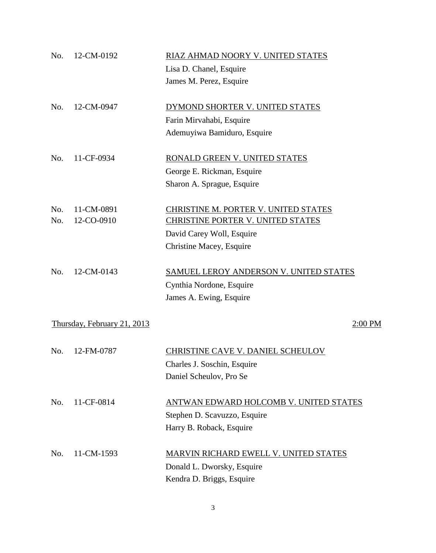| No. | 12-CM-0192                  | RIAZ AHMAD NOORY V. UNITED STATES             |
|-----|-----------------------------|-----------------------------------------------|
|     |                             | Lisa D. Chanel, Esquire                       |
|     |                             | James M. Perez, Esquire                       |
| No. | 12-CM-0947                  | DYMOND SHORTER V. UNITED STATES               |
|     |                             | Farin Mirvahabi, Esquire                      |
|     |                             | Ademuyiwa Bamiduro, Esquire                   |
| No. | 11-CF-0934                  | RONALD GREEN V. UNITED STATES                 |
|     |                             | George E. Rickman, Esquire                    |
|     |                             | Sharon A. Sprague, Esquire                    |
| No. | 11-CM-0891                  | CHRISTINE M. PORTER V. UNITED STATES          |
| No. | 12-CO-0910                  | CHRISTINE PORTER V. UNITED STATES             |
|     |                             | David Carey Woll, Esquire                     |
|     |                             | Christine Macey, Esquire                      |
| No. | 12-CM-0143                  | <b>SAMUEL LEROY ANDERSON V. UNITED STATES</b> |
|     |                             | Cynthia Nordone, Esquire                      |
|     |                             | James A. Ewing, Esquire                       |
|     | Thursday, February 21, 2013 | 2:00 PM                                       |
| No. | 12-FM-0787                  | <b>CHRISTINE CAVE V. DANIEL SCHEULOV</b>      |
|     |                             | Charles J. Soschin, Esquire                   |
|     |                             | Daniel Scheulov, Pro Se                       |
| No. | 11-CF-0814                  | ANTWAN EDWARD HOLCOMB V. UNITED STATES        |
|     |                             | Stephen D. Scavuzzo, Esquire                  |
|     |                             | Harry B. Roback, Esquire                      |
| No. | 11-CM-1593                  | MARVIN RICHARD EWELL V. UNITED STATES         |
|     |                             | Donald L. Dworsky, Esquire                    |
|     |                             | Kendra D. Briggs, Esquire                     |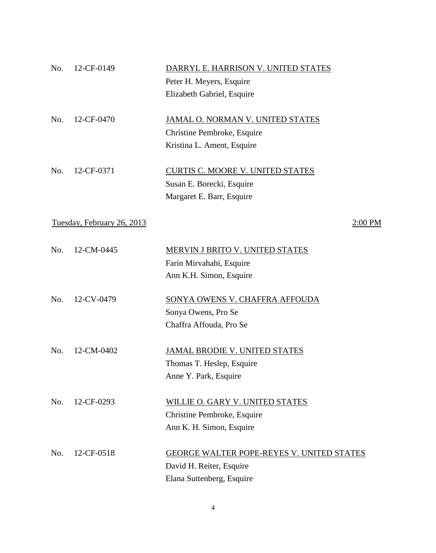| No. | 12-CF-0149                 | DARRYL E. HARRISON V. UNITED STATES              |
|-----|----------------------------|--------------------------------------------------|
|     |                            | Peter H. Meyers, Esquire                         |
|     |                            | Elizabeth Gabriel, Esquire                       |
| No. | 12-CF-0470                 | JAMAL O. NORMAN V. UNITED STATES                 |
|     |                            | Christine Pembroke, Esquire                      |
|     |                            | Kristina L. Ament, Esquire                       |
| No. | 12-CF-0371                 | <b>CURTIS C. MOORE V. UNITED STATES</b>          |
|     |                            | Susan E. Borecki, Esquire                        |
|     |                            | Margaret E. Barr, Esquire                        |
|     | Tuesday, February 26, 2013 | $2:00$ PM                                        |
| No. | 12-CM-0445                 | MERVIN J BRITO V. UNITED STATES                  |
|     |                            | Farin Mirvahabi, Esquire                         |
|     |                            | Ann K.H. Simon, Esquire                          |
| No. | 12-CV-0479                 | SONYA OWENS V. CHAFFRA AFFOUDA                   |
|     |                            | Sonya Owens, Pro Se                              |
|     |                            | Chaffra Affouda, Pro Se                          |
| No. | 12-CM-0402                 | <b>JAMAL BRODIE V. UNITED STATES</b>             |
|     |                            | Thomas T. Heslep, Esquire                        |
|     |                            | Anne Y. Park, Esquire                            |
| No. | 12-CF-0293                 | <b>WILLIE O. GARY V. UNITED STATES</b>           |
|     |                            | Christine Pembroke, Esquire                      |
|     |                            | Ann K. H. Simon, Esquire                         |
| No. | 12-CF-0518                 | <b>GEORGE WALTER POPE-REYES V. UNITED STATES</b> |
|     |                            | David H. Reiter, Esquire                         |
|     |                            | Elana Suttenberg, Esquire                        |

4